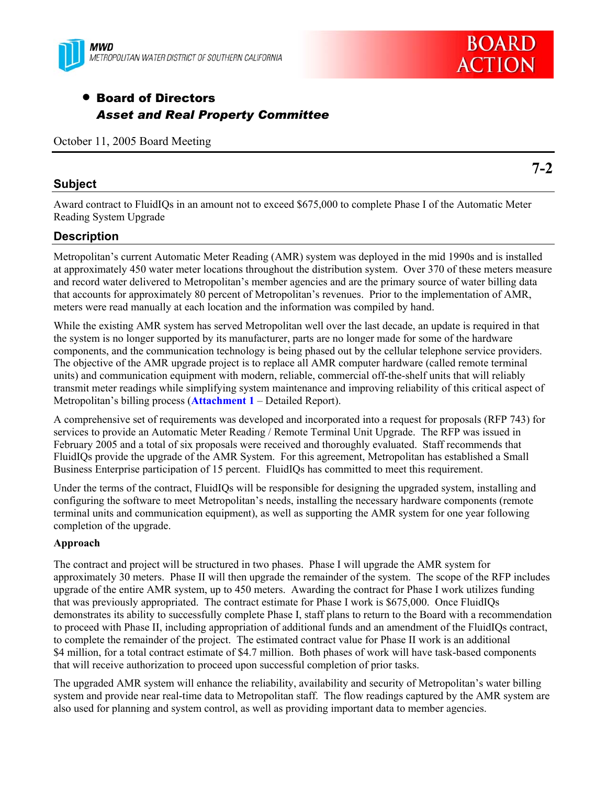

# • Board of Directors *Asset and Real Property Committee*

October 11, 2005 Board Meeting

## **Subject**

Award contract to FluidIQs in an amount not to exceed \$675,000 to complete Phase I of the Automatic Meter Reading System Upgrade

# **Description**

Metropolitan's current Automatic Meter Reading (AMR) system was deployed in the mid 1990s and is installed at approximately 450 water meter locations throughout the distribution system. Over 370 of these meters measure and record water delivered to Metropolitan's member agencies and are the primary source of water billing data that accounts for approximately 80 percent of Metropolitan's revenues. Prior to the implementation of AMR, meters were read manually at each location and the information was compiled by hand.

While the existing AMR system has served Metropolitan well over the last decade, an update is required in that the system is no longer supported by its manufacturer, parts are no longer made for some of the hardware components, and the communication technology is being phased out by the cellular telephone service providers. The objective of the AMR upgrade project is to replace all AMR computer hardware (called remote terminal units) and communication equipment with modern, reliable, commercial off-the-shelf units that will reliably transmit meter readings while simplifying system maintenance and improving reliability of this critical aspect of Metropolitan's billing process (**Attachment 1** – Detailed Report).

A comprehensive set of requirements was developed and incorporated into a request for proposals (RFP 743) for services to provide an Automatic Meter Reading / Remote Terminal Unit Upgrade. The RFP was issued in February 2005 and a total of six proposals were received and thoroughly evaluated. Staff recommends that FluidIQs provide the upgrade of the AMR System. For this agreement, Metropolitan has established a Small Business Enterprise participation of 15 percent. FluidIQs has committed to meet this requirement.

Under the terms of the contract, FluidIQs will be responsible for designing the upgraded system, installing and configuring the software to meet Metropolitan's needs, installing the necessary hardware components (remote terminal units and communication equipment), as well as supporting the AMR system for one year following completion of the upgrade.

## **Approach**

The contract and project will be structured in two phases. Phase I will upgrade the AMR system for approximately 30 meters. Phase II will then upgrade the remainder of the system. The scope of the RFP includes upgrade of the entire AMR system, up to 450 meters. Awarding the contract for Phase I work utilizes funding that was previously appropriated. The contract estimate for Phase I work is \$675,000. Once FluidIQs demonstrates its ability to successfully complete Phase I, staff plans to return to the Board with a recommendation to proceed with Phase II, including appropriation of additional funds and an amendment of the FluidIQs contract, to complete the remainder of the project. The estimated contract value for Phase II work is an additional \$4 million, for a total contract estimate of \$4.7 million. Both phases of work will have task-based components that will receive authorization to proceed upon successful completion of prior tasks.

The upgraded AMR system will enhance the reliability, availability and security of Metropolitan's water billing system and provide near real-time data to Metropolitan staff. The flow readings captured by the AMR system are also used for planning and system control, as well as providing important data to member agencies.

**7-2** 

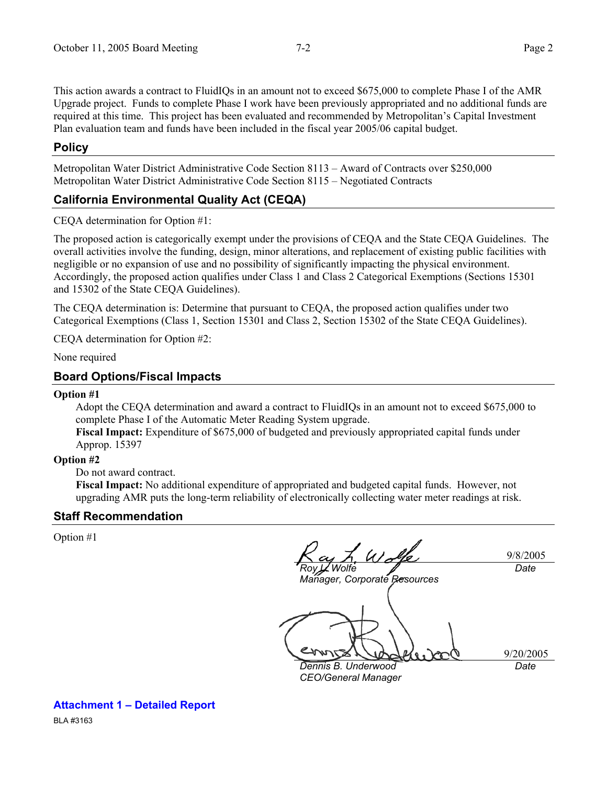This action awards a contract to FluidIQs in an amount not to exceed \$675,000 to complete Phase I of the AMR Upgrade project. Funds to complete Phase I work have been previously appropriated and no additional funds are required at this time. This project has been evaluated and recommended by Metropolitan's Capital Investment Plan evaluation team and funds have been included in the fiscal year 2005/06 capital budget.

## **Policy**

Metropolitan Water District Administrative Code Section 8113 – Award of Contracts over \$250,000 Metropolitan Water District Administrative Code Section 8115 – Negotiated Contracts

# **California Environmental Quality Act (CEQA)**

CEQA determination for Option #1:

The proposed action is categorically exempt under the provisions of CEQA and the State CEQA Guidelines. The overall activities involve the funding, design, minor alterations, and replacement of existing public facilities with negligible or no expansion of use and no possibility of significantly impacting the physical environment. Accordingly, the proposed action qualifies under Class 1 and Class 2 Categorical Exemptions (Sections 15301 and 15302 of the State CEQA Guidelines).

The CEQA determination is: Determine that pursuant to CEQA, the proposed action qualifies under two Categorical Exemptions (Class 1, Section 15301 and Class 2, Section 15302 of the State CEQA Guidelines).

CEQA determination for Option #2:

None required

## **Board Options/Fiscal Impacts**

#### **Option #1**

Adopt the CEQA determination and award a contract to FluidIQs in an amount not to exceed \$675,000 to complete Phase I of the Automatic Meter Reading System upgrade.

**Fiscal Impact:** Expenditure of \$675,000 of budgeted and previously appropriated capital funds under Approp. 15397

#### **Option #2**

Do not award contract.

**Fiscal Impact:** No additional expenditure of appropriated and budgeted capital funds.However, not upgrading AMR puts the long-term reliability of electronically collecting water meter readings at risk.

#### **Staff Recommendation**

Option #1

 $4.$  Way 9/8/2005 *Wolfe Date Manager, Corporate Resources*  9/20/2005 *Dennis B. Underwood Date CEO/General Manager* 

BLA #3163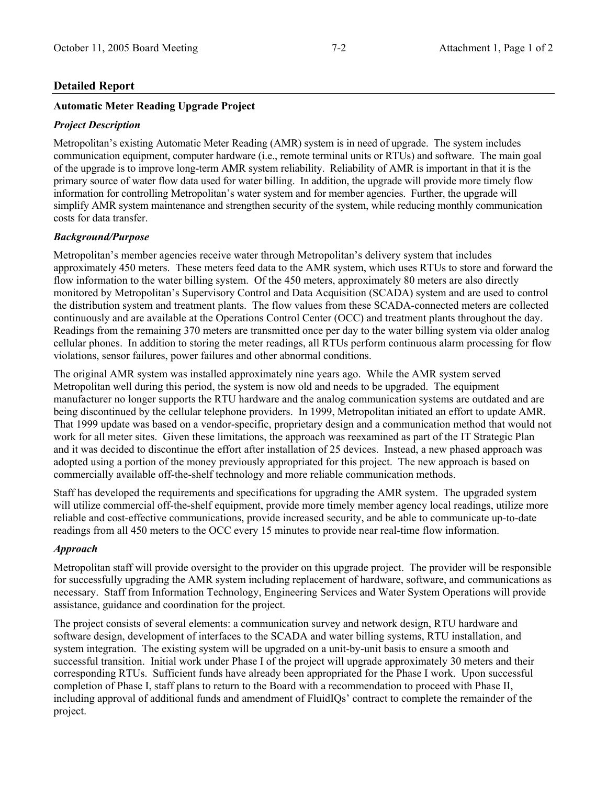## **Detailed Report**

## **Automatic Meter Reading Upgrade Project**

## *Project Description*

Metropolitan's existing Automatic Meter Reading (AMR) system is in need of upgrade. The system includes communication equipment, computer hardware (i.e., remote terminal units or RTUs) and software. The main goal of the upgrade is to improve long-term AMR system reliability. Reliability of AMR is important in that it is the primary source of water flow data used for water billing. In addition, the upgrade will provide more timely flow information for controlling Metropolitan's water system and for member agencies. Further, the upgrade will simplify AMR system maintenance and strengthen security of the system, while reducing monthly communication costs for data transfer.

## *Background/Purpose*

Metropolitan's member agencies receive water through Metropolitan's delivery system that includes approximately 450 meters. These meters feed data to the AMR system, which uses RTUs to store and forward the flow information to the water billing system. Of the 450 meters, approximately 80 meters are also directly monitored by Metropolitan's Supervisory Control and Data Acquisition (SCADA) system and are used to control the distribution system and treatment plants. The flow values from these SCADA-connected meters are collected continuously and are available at the Operations Control Center (OCC) and treatment plants throughout the day. Readings from the remaining 370 meters are transmitted once per day to the water billing system via older analog cellular phones. In addition to storing the meter readings, all RTUs perform continuous alarm processing for flow violations, sensor failures, power failures and other abnormal conditions.

The original AMR system was installed approximately nine years ago. While the AMR system served Metropolitan well during this period, the system is now old and needs to be upgraded. The equipment manufacturer no longer supports the RTU hardware and the analog communication systems are outdated and are being discontinued by the cellular telephone providers. In 1999, Metropolitan initiated an effort to update AMR. That 1999 update was based on a vendor-specific, proprietary design and a communication method that would not work for all meter sites. Given these limitations, the approach was reexamined as part of the IT Strategic Plan and it was decided to discontinue the effort after installation of 25 devices. Instead, a new phased approach was adopted using a portion of the money previously appropriated for this project. The new approach is based on commercially available off-the-shelf technology and more reliable communication methods.

Staff has developed the requirements and specifications for upgrading the AMR system. The upgraded system will utilize commercial off-the-shelf equipment, provide more timely member agency local readings, utilize more reliable and cost-effective communications, provide increased security, and be able to communicate up-to-date readings from all 450 meters to the OCC every 15 minutes to provide near real-time flow information.

## *Approach*

Metropolitan staff will provide oversight to the provider on this upgrade project. The provider will be responsible for successfully upgrading the AMR system including replacement of hardware, software, and communications as necessary. Staff from Information Technology, Engineering Services and Water System Operations will provide assistance, guidance and coordination for the project.

The project consists of several elements: a communication survey and network design, RTU hardware and software design, development of interfaces to the SCADA and water billing systems, RTU installation, and system integration. The existing system will be upgraded on a unit-by-unit basis to ensure a smooth and successful transition. Initial work under Phase I of the project will upgrade approximately 30 meters and their corresponding RTUs. Sufficient funds have already been appropriated for the Phase I work. Upon successful completion of Phase I, staff plans to return to the Board with a recommendation to proceed with Phase II, including approval of additional funds and amendment of FluidIQs' contract to complete the remainder of the project.